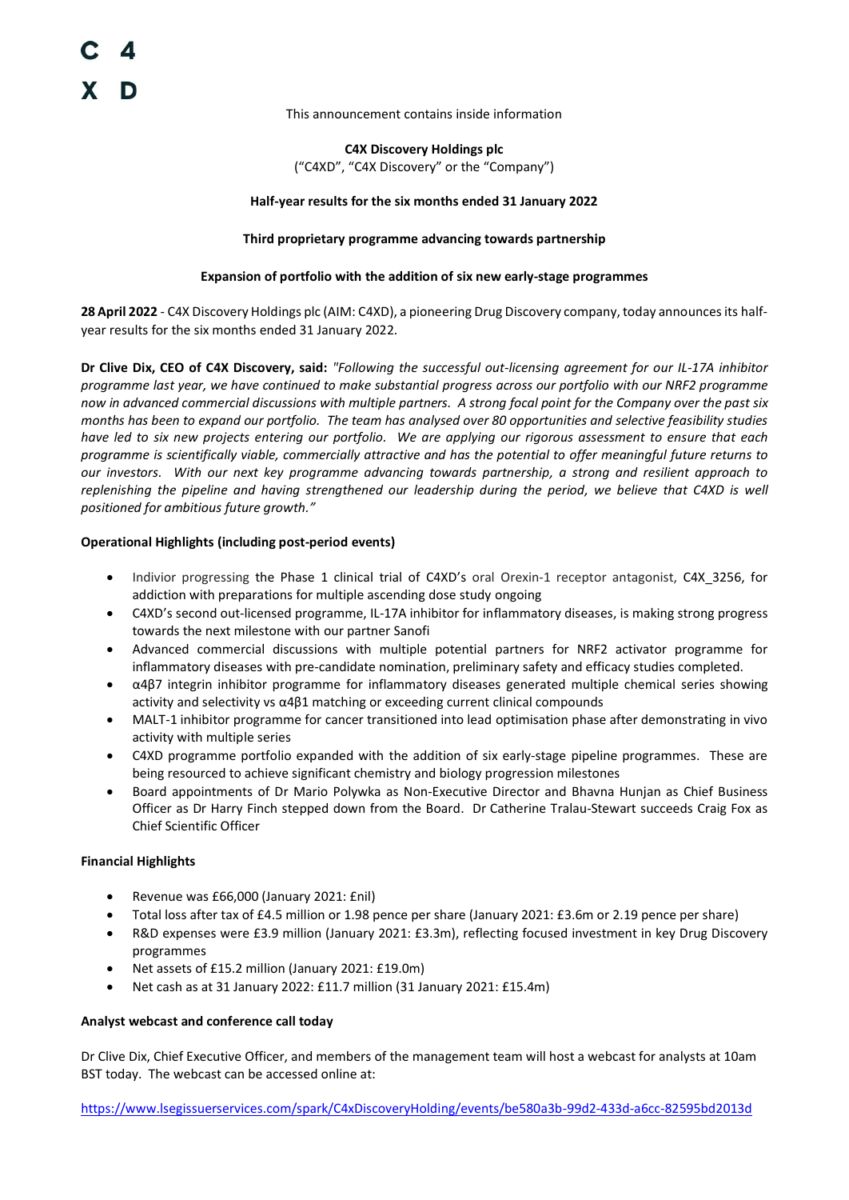This announcement contains inside information

**C4X Discovery Holdings plc** 

("C4XD", "C4X Discovery" or the "Company")

#### **Half-year results for the six months ended 31 January 2022**

#### **Third proprietary programme advancing towards partnership**

#### **Expansion of portfolio with the addition of six new early-stage programmes**

**28 April 2022** - C4X Discovery Holdings plc (AIM: C4XD), a pioneering Drug Discovery company, today announces its halfyear results for the six months ended 31 January 2022.

**Dr Clive Dix, CEO of C4X Discovery, said:** *"Following the successful out-licensing agreement for our IL-17A inhibitor programme last year, we have continued to make substantial progress across our portfolio with our NRF2 programme now in advanced commercial discussions with multiple partners. A strong focal point for the Company over the past six months has been to expand our portfolio. The team has analysed over 80 opportunities and selective feasibility studies have led to six new projects entering our portfolio. We are applying our rigorous assessment to ensure that each programme is scientifically viable, commercially attractive and has the potential to offer meaningful future returns to our investors. With our next key programme advancing towards partnership, a strong and resilient approach to replenishing the pipeline and having strengthened our leadership during the period, we believe that C4XD is well positioned for ambitious future growth."*

## **Operational Highlights (including post-period events)**

- Indivior progressing the Phase 1 clinical trial of C4XD's oral Orexin-1 receptor antagonist, C4X\_3256, for addiction with preparations for multiple ascending dose study ongoing
- C4XD's second out-licensed programme, IL-17A inhibitor for inflammatory diseases, is making strong progress towards the next milestone with our partner Sanofi
- Advanced commercial discussions with multiple potential partners for NRF2 activator programme for inflammatory diseases with pre-candidate nomination, preliminary safety and efficacy studies completed.
- α4β7 integrin inhibitor programme for inflammatory diseases generated multiple chemical series showing activity and selectivity vs α4β1 matching or exceeding current clinical compounds
- MALT-1 inhibitor programme for cancer transitioned into lead optimisation phase after demonstrating in vivo activity with multiple series
- C4XD programme portfolio expanded with the addition of six early-stage pipeline programmes. These are being resourced to achieve significant chemistry and biology progression milestones
- Board appointments of Dr Mario Polywka as Non-Executive Director and Bhavna Hunjan as Chief Business Officer as Dr Harry Finch stepped down from the Board. Dr Catherine Tralau-Stewart succeeds Craig Fox as Chief Scientific Officer

## **Financial Highlights**

- Revenue was £66,000 (January 2021: £nil)
- Total loss after tax of £4.5 million or 1.98 pence per share (January 2021: £3.6m or 2.19 pence per share)
- R&D expenses were £3.9 million (January 2021: £3.3m), reflecting focused investment in key Drug Discovery programmes
- Net assets of £15.2 million (January 2021: £19.0m)
- Net cash as at 31 January 2022: £11.7 million (31 January 2021: £15.4m)

## **Analyst webcast and conference call today**

Dr Clive Dix, Chief Executive Officer, and members of the management team will host a webcast for analysts at 10am BST today. The webcast can be accessed online at:

<https://www.lsegissuerservices.com/spark/C4xDiscoveryHolding/events/be580a3b-99d2-433d-a6cc-82595bd2013d>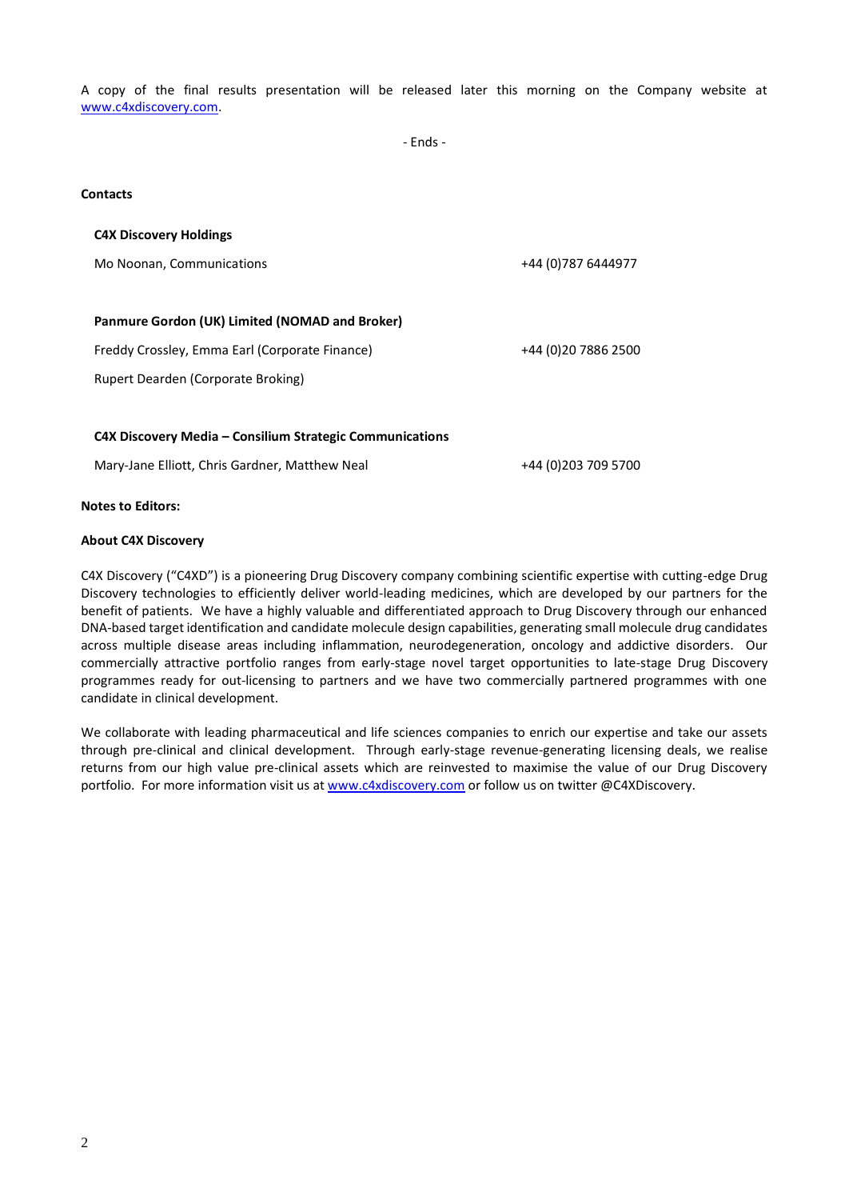A copy of the final results presentation will be released later this morning on the Company website at [www.c4xdiscovery.com.](http://www.c4xdiscovery.com/)

- Ends -

#### **Contacts**

| <b>C4X Discovery Holdings</b>                            |                     |
|----------------------------------------------------------|---------------------|
| Mo Noonan, Communications                                | +44 (0) 787 6444977 |
|                                                          |                     |
| Panmure Gordon (UK) Limited (NOMAD and Broker)           |                     |
| Freddy Crossley, Emma Earl (Corporate Finance)           | +44 (0)20 7886 2500 |
| Rupert Dearden (Corporate Broking)                       |                     |
|                                                          |                     |
| C4X Discovery Media – Consilium Strategic Communications |                     |
| Mary-Jane Elliott, Chris Gardner, Matthew Neal           | +44 (0)203 709 5700 |
|                                                          |                     |

#### **Notes to Editors:**

#### **About C4X Discovery**

C4X Discovery ("C4XD") is a pioneering Drug Discovery company combining scientific expertise with cutting-edge Drug Discovery technologies to efficiently deliver world-leading medicines, which are developed by our partners for the benefit of patients. We have a highly valuable and differentiated approach to Drug Discovery through our enhanced DNA-based target identification and candidate molecule design capabilities, generating small molecule drug candidates across multiple disease areas including inflammation, neurodegeneration, oncology and addictive disorders. Our commercially attractive portfolio ranges from early-stage novel target opportunities to late-stage Drug Discovery programmes ready for out-licensing to partners and we have two commercially partnered programmes with one candidate in clinical development.

We collaborate with leading pharmaceutical and life sciences companies to enrich our expertise and take our assets through pre-clinical and clinical development. Through early-stage revenue-generating licensing deals, we realise returns from our high value pre-clinical assets which are reinvested to maximise the value of our Drug Discovery portfolio. For more information visit us at [www.c4xdiscovery.com](http://www.c4xdiscovery.com/) or follow us on twitter @C4XDiscovery.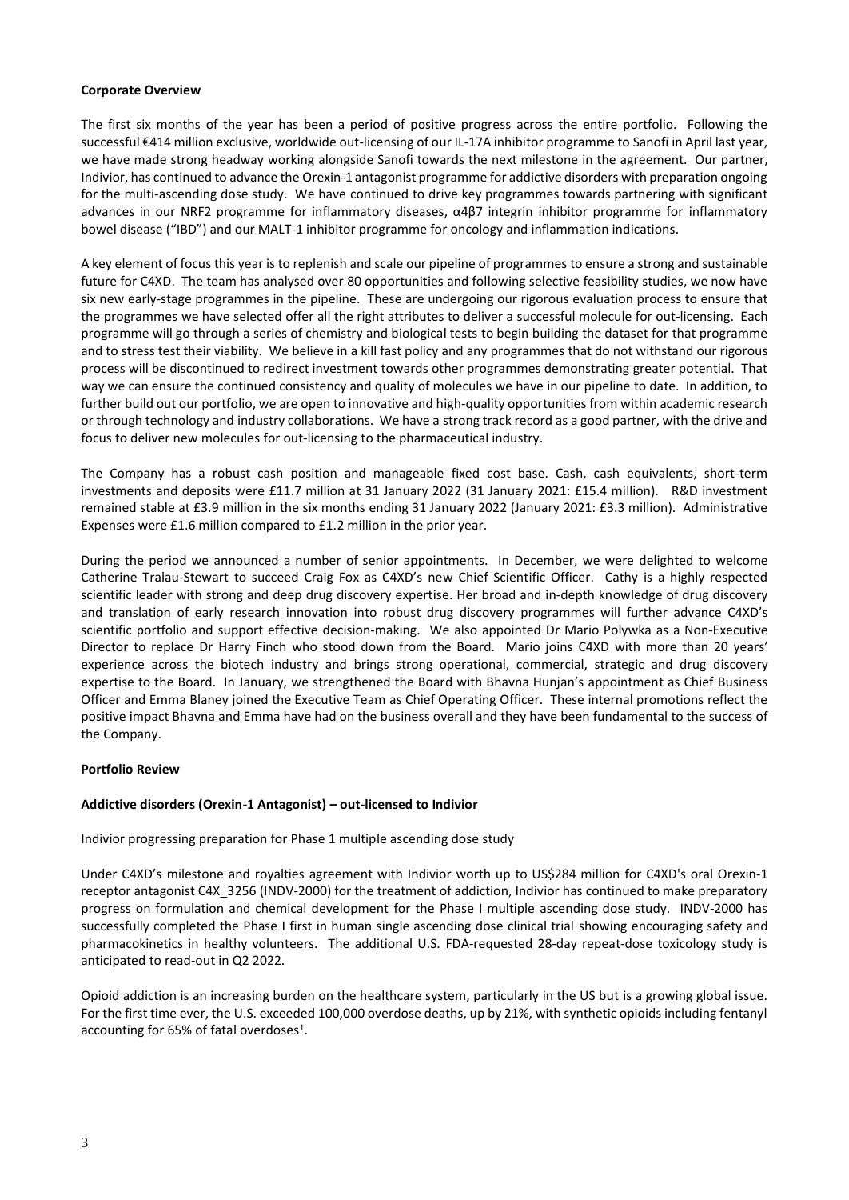## **Corporate Overview**

The first six months of the year has been a period of positive progress across the entire portfolio. Following the successful €414 million exclusive, worldwide out-licensing of our IL-17A inhibitor programme to Sanofi in April last year, we have made strong headway working alongside Sanofi towards the next milestone in the agreement. Our partner, Indivior, has continued to advance the Orexin-1 antagonist programme for addictive disorders with preparation ongoing for the multi-ascending dose study. We have continued to drive key programmes towards partnering with significant advances in our NRF2 programme for inflammatory diseases, α4β7 integrin inhibitor programme for inflammatory bowel disease ("IBD") and our MALT-1 inhibitor programme for oncology and inflammation indications.

A key element of focus this year is to replenish and scale our pipeline of programmes to ensure a strong and sustainable future for C4XD. The team has analysed over 80 opportunities and following selective feasibility studies, we now have six new early-stage programmes in the pipeline. These are undergoing our rigorous evaluation process to ensure that the programmes we have selected offer all the right attributes to deliver a successful molecule for out-licensing. Each programme will go through a series of chemistry and biological tests to begin building the dataset for that programme and to stress test their viability. We believe in a kill fast policy and any programmes that do not withstand our rigorous process will be discontinued to redirect investment towards other programmes demonstrating greater potential. That way we can ensure the continued consistency and quality of molecules we have in our pipeline to date. In addition, to further build out our portfolio, we are open to innovative and high-quality opportunities from within academic research or through technology and industry collaborations. We have a strong track record as a good partner, with the drive and focus to deliver new molecules for out-licensing to the pharmaceutical industry.

The Company has a robust cash position and manageable fixed cost base. Cash, cash equivalents, short-term investments and deposits were £11.7 million at 31 January 2022 (31 January 2021: £15.4 million). R&D investment remained stable at £3.9 million in the six months ending 31 January 2022 (January 2021: £3.3 million). Administrative Expenses were £1.6 million compared to £1.2 million in the prior year.

During the period we announced a number of senior appointments. In December, we were delighted to welcome Catherine Tralau-Stewart to succeed Craig Fox as C4XD's new Chief Scientific Officer. Cathy is a highly respected scientific leader with strong and deep drug discovery expertise. Her broad and in-depth knowledge of drug discovery and translation of early research innovation into robust drug discovery programmes will further advance C4XD's scientific portfolio and support effective decision-making. We also appointed Dr Mario Polywka as a Non-Executive Director to replace Dr Harry Finch who stood down from the Board. Mario joins C4XD with more than 20 years' experience across the biotech industry and brings strong operational, commercial, strategic and drug discovery expertise to the Board. In January, we strengthened the Board with Bhavna Hunjan's appointment as Chief Business Officer and Emma Blaney joined the Executive Team as Chief Operating Officer. These internal promotions reflect the positive impact Bhavna and Emma have had on the business overall and they have been fundamental to the success of the Company.

## **Portfolio Review**

## **Addictive disorders (Orexin-1 Antagonist) – out-licensed to Indivior**

Indivior progressing preparation for Phase 1 multiple ascending dose study

Under C4XD's milestone and royalties agreement with Indivior worth up to US\$284 million for C4XD's oral Orexin-1 receptor antagonist C4X\_3256 (INDV-2000) for the treatment of addiction, Indivior has continued to make preparatory progress on formulation and chemical development for the Phase I multiple ascending dose study. INDV-2000 has successfully completed the Phase I first in human single ascending dose clinical trial showing encouraging safety and pharmacokinetics in healthy volunteers. The additional U.S. FDA-requested 28-day repeat-dose toxicology study is anticipated to read-out in Q2 2022.

Opioid addiction is an increasing burden on the healthcare system, particularly in the US but is a growing global issue. For the first time ever, the U.S. exceeded 100,000 overdose deaths, up by 21%, with synthetic opioids including fentanyl accounting for 65% of fatal overdoses<sup>1</sup>.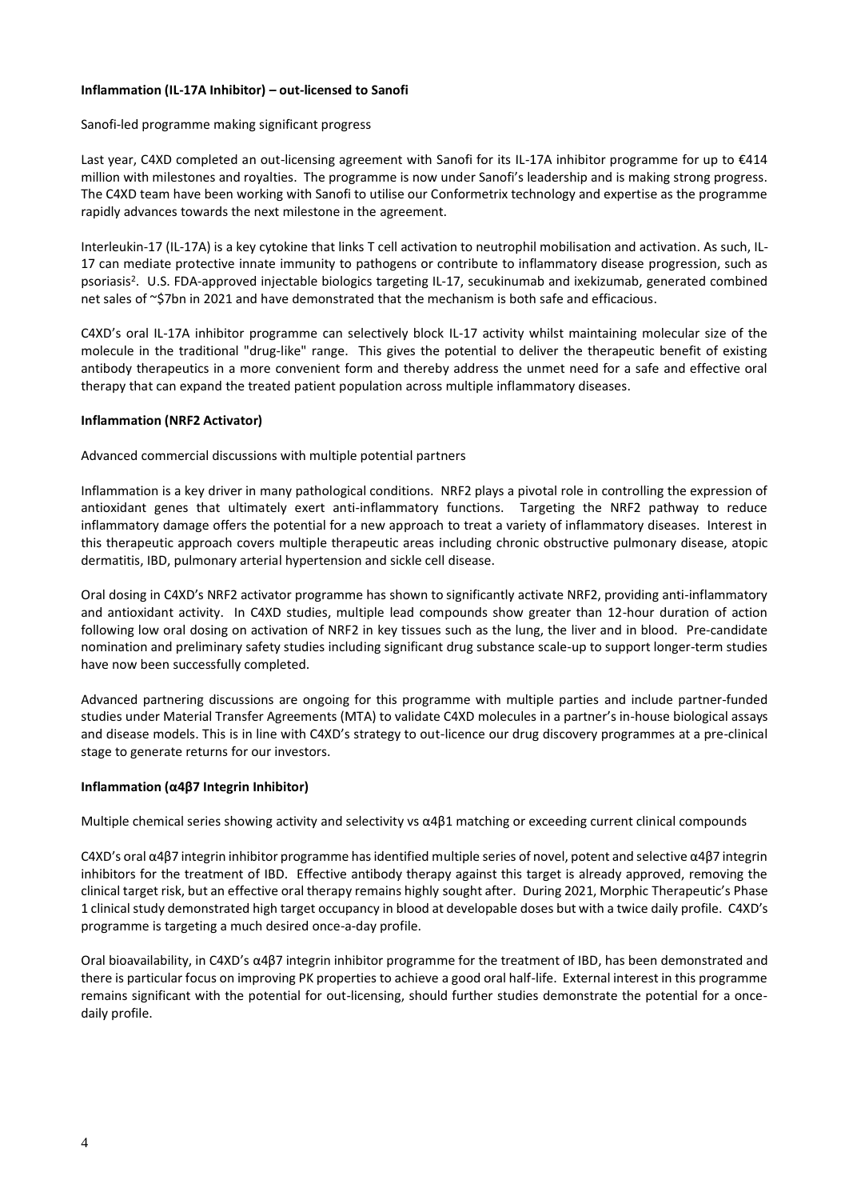## **Inflammation (IL-17A Inhibitor) – out-licensed to Sanofi**

#### Sanofi-led programme making significant progress

Last year, C4XD completed an out-licensing agreement with Sanofi for its IL-17A inhibitor programme for up to €414 million with milestones and royalties. The programme is now under Sanofi's leadership and is making strong progress. The C4XD team have been working with Sanofi to utilise our Conformetrix technology and expertise as the programme rapidly advances towards the next milestone in the agreement.

Interleukin-17 (IL-17A) is a key cytokine that links T cell activation to neutrophil mobilisation and activation. As such, IL-17 can mediate protective innate immunity to pathogens or contribute to inflammatory disease progression, such as psoriasis<sup>2</sup>. U.S. FDA-approved injectable biologics targeting IL-17, secukinumab and ixekizumab, generated combined net sales of ~\$7bn in 2021 and have demonstrated that the mechanism is both safe and efficacious.

C4XD's oral IL-17A inhibitor programme can selectively block IL-17 activity whilst maintaining molecular size of the molecule in the traditional "drug-like" range. This gives the potential to deliver the therapeutic benefit of existing antibody therapeutics in a more convenient form and thereby address the unmet need for a safe and effective oral therapy that can expand the treated patient population across multiple inflammatory diseases.

#### **Inflammation (NRF2 Activator)**

## Advanced commercial discussions with multiple potential partners

Inflammation is a key driver in many pathological conditions. NRF2 plays a pivotal role in controlling the expression of antioxidant genes that ultimately exert anti-inflammatory functions. Targeting the NRF2 pathway to reduce inflammatory damage offers the potential for a new approach to treat a variety of inflammatory diseases. Interest in this therapeutic approach covers multiple therapeutic areas including chronic obstructive pulmonary disease, atopic dermatitis, IBD, pulmonary arterial hypertension and sickle cell disease.

Oral dosing in C4XD's NRF2 activator programme has shown to significantly activate NRF2, providing anti-inflammatory and antioxidant activity. In C4XD studies, multiple lead compounds show greater than 12-hour duration of action following low oral dosing on activation of NRF2 in key tissues such as the lung, the liver and in blood. Pre-candidate nomination and preliminary safety studies including significant drug substance scale-up to support longer-term studies have now been successfully completed.

Advanced partnering discussions are ongoing for this programme with multiple parties and include partner-funded studies under Material Transfer Agreements (MTA) to validate C4XD molecules in a partner's in-house biological assays and disease models. This is in line with C4XD's strategy to out-licence our drug discovery programmes at a pre-clinical stage to generate returns for our investors.

## **Inflammation (α4β7 Integrin Inhibitor)**

Multiple chemical series showing activity and selectivity vs α4β1 matching or exceeding current clinical compounds

C4XD's oral α4β7 integrin inhibitor programme has identified multiple series of novel, potent and selective α4β7 integrin inhibitors for the treatment of IBD. Effective antibody therapy against this target is already approved, removing the clinical target risk, but an effective oral therapy remains highly sought after. During 2021, Morphic Therapeutic's Phase 1 clinical study demonstrated high target occupancy in blood at developable doses but with a twice daily profile. C4XD's programme is targeting a much desired once-a-day profile.

Oral bioavailability, in C4XD's α4β7 integrin inhibitor programme for the treatment of IBD, has been demonstrated and there is particular focus on improving PK properties to achieve a good oral half-life. External interest in this programme remains significant with the potential for out-licensing, should further studies demonstrate the potential for a oncedaily profile.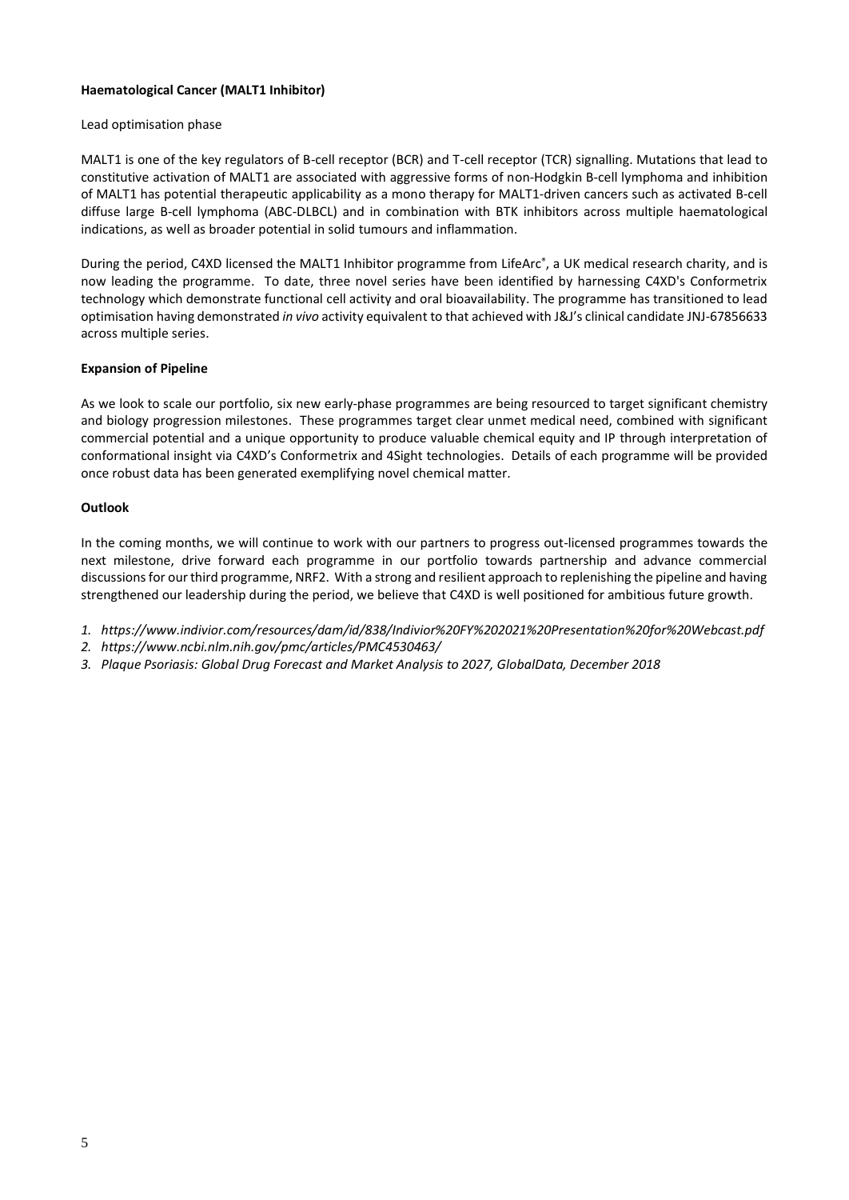## **Haematological Cancer (MALT1 Inhibitor)**

## Lead optimisation phase

MALT1 is one of the key regulators of B-cell receptor (BCR) and T-cell receptor (TCR) signalling. Mutations that lead to constitutive activation of MALT1 are associated with aggressive forms of non-Hodgkin B-cell lymphoma and inhibition of MALT1 has potential therapeutic applicability as a mono therapy for MALT1-driven cancers such as activated B-cell diffuse large B-cell lymphoma (ABC-DLBCL) and in combination with BTK inhibitors across multiple haematological indications, as well as broader potential in solid tumours and inflammation.

During the period, C4XD licensed the MALT1 Inhibitor programme from LifeArc® , a UK medical research charity, and is now leading the programme. To date, three novel series have been identified by harnessing C4XD's Conformetrix technology which demonstrate functional cell activity and oral bioavailability. The programme has transitioned to lead optimisation having demonstrated *in vivo* activity equivalent to that achieved with J&J's clinical candidate JNJ-67856633 across multiple series.

## **Expansion of Pipeline**

As we look to scale our portfolio, six new early-phase programmes are being resourced to target significant chemistry and biology progression milestones. These programmes target clear unmet medical need, combined with significant commercial potential and a unique opportunity to produce valuable chemical equity and IP through interpretation of conformational insight via C4XD's Conformetrix and 4Sight technologies. Details of each programme will be provided once robust data has been generated exemplifying novel chemical matter.

#### **Outlook**

In the coming months, we will continue to work with our partners to progress out-licensed programmes towards the next milestone, drive forward each programme in our portfolio towards partnership and advance commercial discussions for our third programme, NRF2. With a strong and resilient approach to replenishing the pipeline and having strengthened our leadership during the period, we believe that C4XD is well positioned for ambitious future growth.

- *1. https://www.indivior.com/resources/dam/id/838/Indivior%20FY%202021%20Presentation%20for%20Webcast.pdf*
- *2. https://www.ncbi.nlm.nih.gov/pmc/articles/PMC4530463/*
- *3. Plaque Psoriasis: Global Drug Forecast and Market Analysis to 2027, GlobalData, December 2018*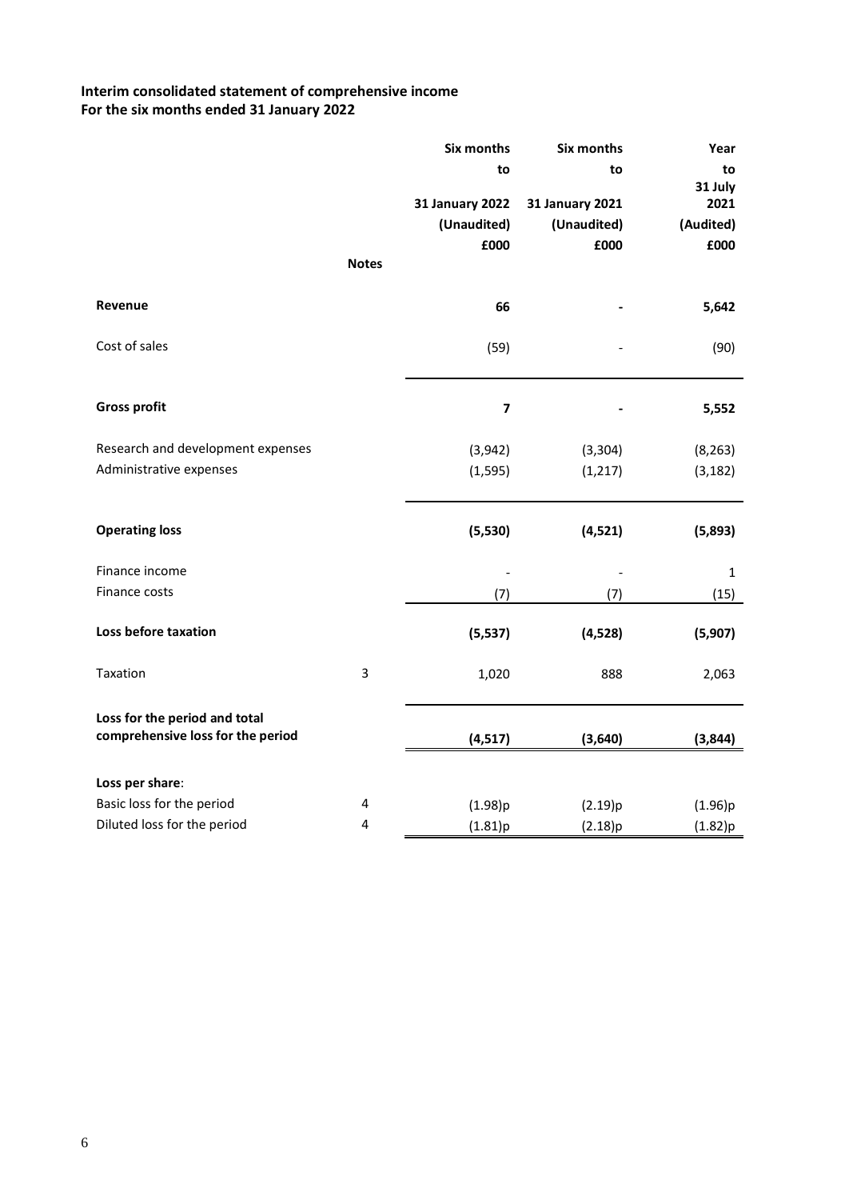# **Interim consolidated statement of comprehensive income For the six months ended 31 January 2022**

|                                   |                | <b>Six months</b>       | Six months             | Year         |
|-----------------------------------|----------------|-------------------------|------------------------|--------------|
|                                   |                | to                      | to                     | to           |
|                                   |                |                         |                        | 31 July      |
|                                   |                | <b>31 January 2022</b>  | <b>31 January 2021</b> | 2021         |
|                                   |                | (Unaudited)             | (Unaudited)            | (Audited)    |
|                                   |                | £000                    | £000                   | £000         |
|                                   | <b>Notes</b>   |                         |                        |              |
| Revenue                           |                | 66                      |                        | 5,642        |
|                                   |                |                         |                        |              |
| Cost of sales                     |                | (59)                    |                        | (90)         |
|                                   |                |                         |                        |              |
| <b>Gross profit</b>               |                | $\overline{\mathbf{z}}$ |                        |              |
|                                   |                |                         |                        | 5,552        |
| Research and development expenses |                | (3,942)                 | (3, 304)               | (8, 263)     |
| Administrative expenses           |                | (1, 595)                | (1, 217)               | (3, 182)     |
|                                   |                |                         |                        |              |
| <b>Operating loss</b>             |                | (5,530)                 | (4,521)                | (5,893)      |
|                                   |                |                         |                        |              |
| Finance income                    |                |                         |                        | $\mathbf{1}$ |
| Finance costs                     |                | (7)                     | (7)                    | (15)         |
|                                   |                |                         |                        |              |
| Loss before taxation              |                | (5, 537)                | (4,528)                | (5,907)      |
| Taxation                          | $\overline{3}$ | 1,020                   | 888                    | 2,063        |
|                                   |                |                         |                        |              |
| Loss for the period and total     |                |                         |                        |              |
| comprehensive loss for the period |                | (4, 517)                | (3,640)                | (3,844)      |
|                                   |                |                         |                        |              |
| Loss per share:                   |                |                         |                        |              |
| Basic loss for the period         | 4              | (1.98)p                 | (2.19)p                | (1.96)p      |
| Diluted loss for the period       | 4              | (1.81)p                 | (2.18)p                | (1.82)p      |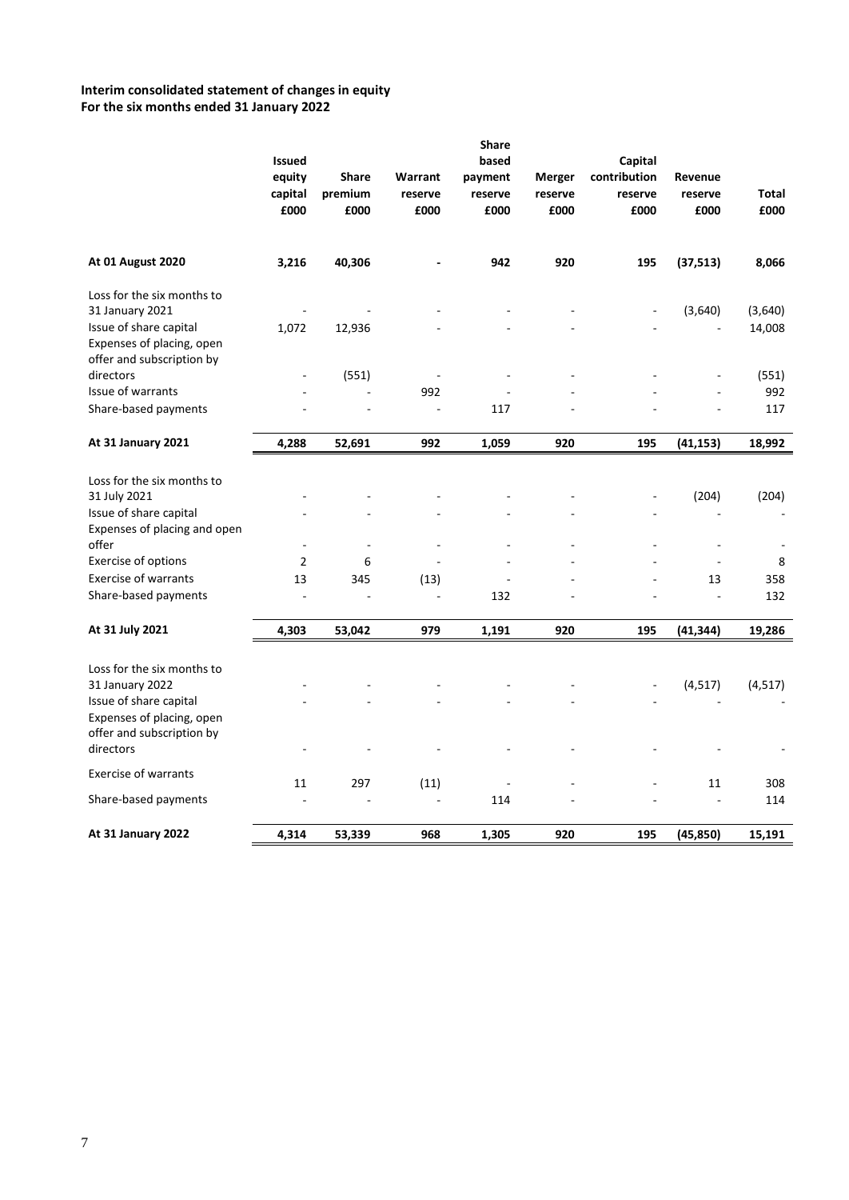# **Interim consolidated statement of changes in equity For the six months ended 31 January 2022**

|                                                                                                                                   | <b>Issued</b><br>equity<br>capital<br>£000 | Share<br>premium<br>£000 | Warrant<br>reserve<br>£000 | <b>Share</b><br>based<br>payment<br>reserve<br>£000 | Merger<br>reserve<br>£000 | Capital<br>contribution<br>reserve<br>£000 | Revenue<br>reserve<br>£000 | Total<br>£000     |
|-----------------------------------------------------------------------------------------------------------------------------------|--------------------------------------------|--------------------------|----------------------------|-----------------------------------------------------|---------------------------|--------------------------------------------|----------------------------|-------------------|
| <b>At 01 August 2020</b>                                                                                                          | 3,216                                      | 40,306                   |                            | 942                                                 | 920                       | 195                                        | (37, 513)                  | 8,066             |
| Loss for the six months to<br>31 January 2021<br>Issue of share capital<br>Expenses of placing, open                              | 1,072                                      | 12,936                   |                            |                                                     |                           |                                            | (3,640)                    | (3,640)<br>14,008 |
| offer and subscription by<br>directors                                                                                            |                                            | (551)                    |                            |                                                     |                           |                                            |                            | (551)             |
| Issue of warrants                                                                                                                 |                                            |                          | 992                        |                                                     |                           |                                            |                            | 992               |
| Share-based payments                                                                                                              |                                            |                          | ä,                         | 117                                                 |                           |                                            |                            | 117               |
| At 31 January 2021                                                                                                                | 4,288                                      | 52,691                   | 992                        | 1,059                                               | 920                       | 195                                        | (41, 153)                  | 18,992            |
| Loss for the six months to<br>31 July 2021<br>Issue of share capital<br>Expenses of placing and open                              |                                            |                          |                            |                                                     |                           |                                            | (204)                      | (204)             |
| offer                                                                                                                             |                                            |                          |                            |                                                     |                           |                                            |                            |                   |
| Exercise of options                                                                                                               | $\overline{2}$                             | 6                        |                            |                                                     |                           |                                            |                            | 8                 |
| <b>Exercise of warrants</b><br>Share-based payments                                                                               | 13<br>÷,                                   | 345                      | (13)                       | 132                                                 |                           |                                            | 13<br>÷,                   | 358<br>132        |
| At 31 July 2021                                                                                                                   | 4,303                                      | 53,042                   | 979                        | 1,191                                               | 920                       | 195                                        | (41, 344)                  | 19,286            |
| Loss for the six months to<br>31 January 2022<br>Issue of share capital<br>Expenses of placing, open<br>offer and subscription by |                                            |                          |                            |                                                     |                           |                                            | (4, 517)                   | (4, 517)          |
| directors                                                                                                                         |                                            |                          |                            |                                                     |                           |                                            |                            |                   |
| <b>Exercise of warrants</b>                                                                                                       | 11                                         | 297                      | (11)                       |                                                     |                           |                                            | 11                         | 308               |
| Share-based payments                                                                                                              |                                            |                          | L,                         | 114                                                 |                           |                                            |                            | 114               |
| At 31 January 2022                                                                                                                | 4,314                                      | 53,339                   | 968                        | 1,305                                               | 920                       | 195                                        | (45, 850)                  | 15,191            |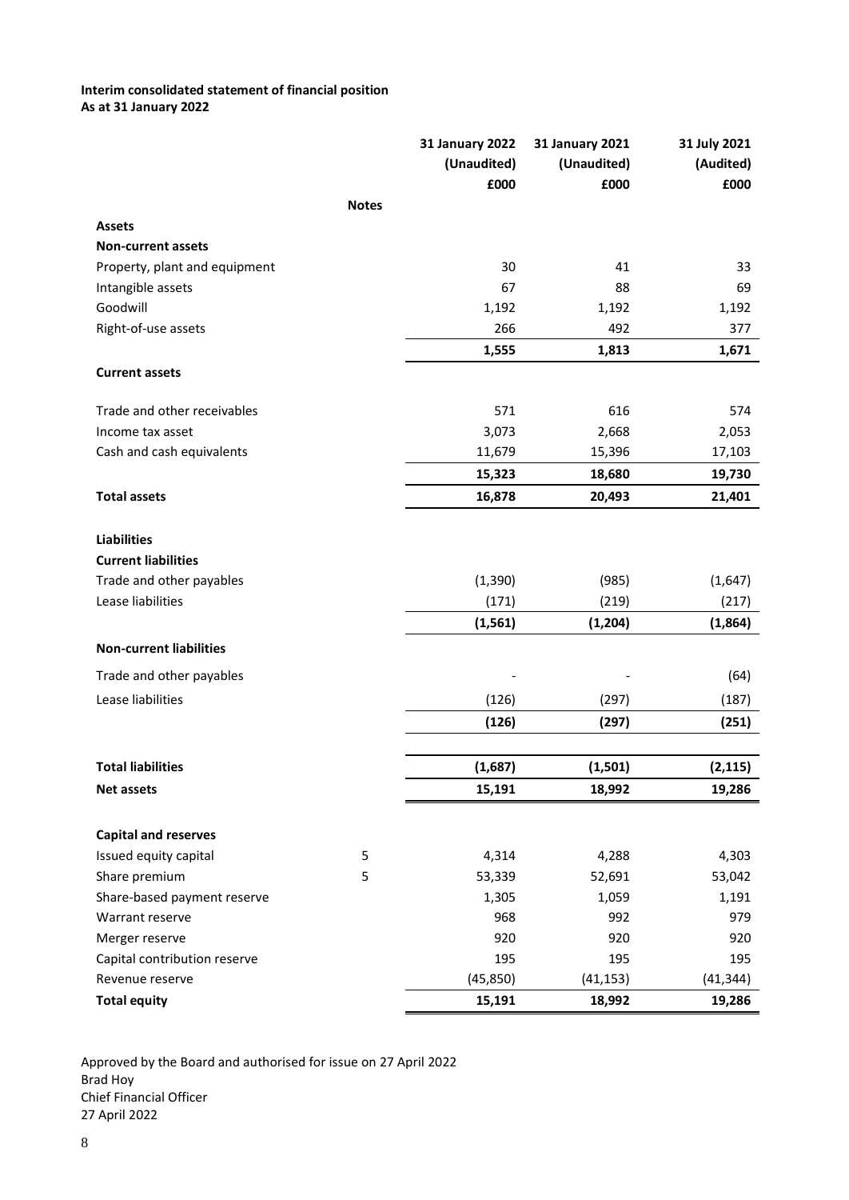# **Interim consolidated statement of financial position As at 31 January 2022**

|                                                 |              | <b>31 January 2022</b> | <b>31 January 2021</b> | 31 July 2021     |  |
|-------------------------------------------------|--------------|------------------------|------------------------|------------------|--|
|                                                 |              | (Unaudited)            | (Unaudited)            | (Audited)        |  |
|                                                 |              | £000                   | £000                   | £000             |  |
|                                                 | <b>Notes</b> |                        |                        |                  |  |
| <b>Assets</b>                                   |              |                        |                        |                  |  |
| <b>Non-current assets</b>                       |              |                        |                        |                  |  |
| Property, plant and equipment                   |              | 30                     | 41                     | 33               |  |
| Intangible assets                               |              | 67                     | 88                     | 69               |  |
| Goodwill                                        |              | 1,192                  | 1,192                  | 1,192            |  |
| Right-of-use assets                             |              | 266                    | 492                    | 377              |  |
|                                                 |              | 1,555                  | 1,813                  | 1,671            |  |
| <b>Current assets</b>                           |              |                        |                        |                  |  |
| Trade and other receivables                     |              | 571                    | 616                    | 574              |  |
| Income tax asset                                |              | 3,073                  | 2,668                  | 2,053            |  |
| Cash and cash equivalents                       |              | 11,679                 | 15,396                 | 17,103           |  |
|                                                 |              | 15,323                 | 18,680                 | 19,730           |  |
| <b>Total assets</b>                             |              | 16,878                 | 20,493                 | 21,401           |  |
| <b>Liabilities</b>                              |              |                        |                        |                  |  |
| <b>Current liabilities</b>                      |              |                        |                        |                  |  |
| Trade and other payables                        |              | (1, 390)               | (985)                  | (1,647)          |  |
| Lease liabilities                               |              | (171)                  | (219)                  | (217)            |  |
|                                                 |              | (1, 561)               | (1, 204)               | (1,864)          |  |
| <b>Non-current liabilities</b>                  |              |                        |                        |                  |  |
| Trade and other payables                        |              |                        |                        | (64)             |  |
| Lease liabilities                               |              | (126)                  | (297)                  | (187)            |  |
|                                                 |              | (126)                  | (297)                  | (251)            |  |
| <b>Total liabilities</b>                        |              | (1,687)                | (1,501)                | (2, 115)         |  |
| <b>Net assets</b>                               |              | 15,191                 | 18,992                 | 19,286           |  |
|                                                 |              |                        |                        |                  |  |
| <b>Capital and reserves</b>                     |              |                        |                        |                  |  |
| Issued equity capital                           | 5            | 4,314                  | 4,288                  | 4,303            |  |
| Share premium<br>Share-based payment reserve    | 5            | 53,339                 | 52,691                 | 53,042           |  |
| Warrant reserve                                 |              | 1,305                  | 1,059                  | 1,191            |  |
|                                                 |              | 968                    | 992                    | 979              |  |
| Merger reserve                                  |              | 920                    | 920                    | 920              |  |
| Capital contribution reserve<br>Revenue reserve |              | 195<br>(45, 850)       | 195                    | 195<br>(41, 344) |  |
|                                                 |              |                        | (41, 153)              |                  |  |
| <b>Total equity</b>                             |              | 15,191                 | 18,992                 | 19,286           |  |

Approved by the Board and authorised for issue on 27 April 2022 Brad Hoy Chief Financial Officer 27 April 2022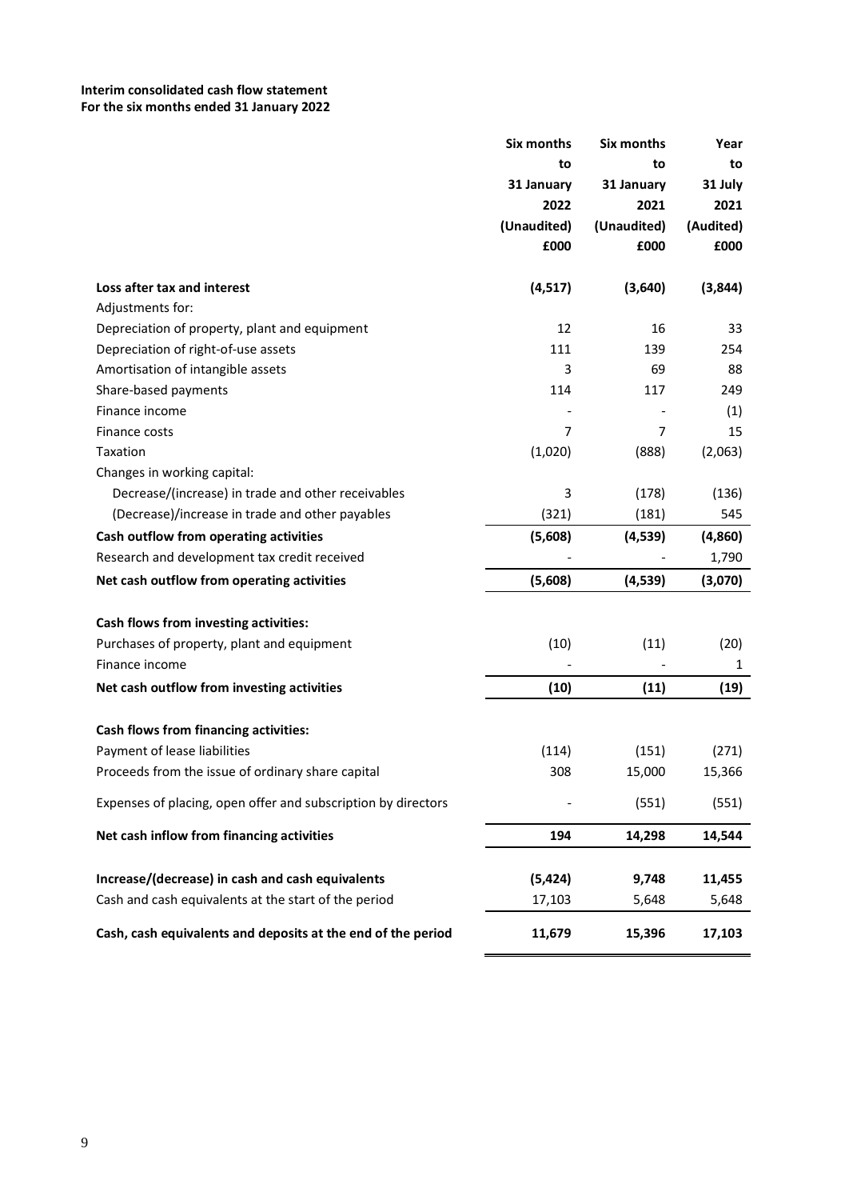# **Interim consolidated cash flow statement For the six months ended 31 January 2022**

|                                                               | Six months  | Six months  | Year         |
|---------------------------------------------------------------|-------------|-------------|--------------|
|                                                               | to          | to          | to           |
|                                                               | 31 January  | 31 January  | 31 July      |
|                                                               | 2022        | 2021        | 2021         |
|                                                               | (Unaudited) | (Unaudited) | (Audited)    |
|                                                               | £000        | £000        | £000         |
| Loss after tax and interest                                   | (4, 517)    | (3,640)     | (3,844)      |
| Adjustments for:                                              |             |             |              |
| Depreciation of property, plant and equipment                 | 12          | 16          | 33           |
| Depreciation of right-of-use assets                           | 111         | 139         | 254          |
| Amortisation of intangible assets                             | 3           | 69          | 88           |
| Share-based payments                                          | 114         | 117         | 249          |
| Finance income                                                |             |             | (1)          |
| Finance costs                                                 | 7           | 7           | 15           |
| Taxation                                                      | (1,020)     | (888)       | (2,063)      |
| Changes in working capital:                                   |             |             |              |
| Decrease/(increase) in trade and other receivables            | 3           | (178)       | (136)        |
| (Decrease)/increase in trade and other payables               | (321)       | (181)       | 545          |
| Cash outflow from operating activities                        | (5,608)     | (4, 539)    | (4,860)      |
| Research and development tax credit received                  |             |             | 1,790        |
| Net cash outflow from operating activities                    | (5,608)     | (4,539)     | (3,070)      |
|                                                               |             |             |              |
| Cash flows from investing activities:                         |             |             |              |
| Purchases of property, plant and equipment                    | (10)        | (11)        | (20)         |
| Finance income                                                |             |             | $\mathbf{1}$ |
| Net cash outflow from investing activities                    | (10)        | (11)        | (19)         |
| <b>Cash flows from financing activities:</b>                  |             |             |              |
| Payment of lease liabilities                                  | (114)       | (151)       | (271)        |
| Proceeds from the issue of ordinary share capital             | 308         | 15,000      | 15,366       |
| Expenses of placing, open offer and subscription by directors |             | (551)       | (551)        |
| Net cash inflow from financing activities                     | 194         | 14,298      | 14,544       |
| Increase/(decrease) in cash and cash equivalents              |             |             |              |
|                                                               | (5, 424)    | 9,748       | 11,455       |
| Cash and cash equivalents at the start of the period          | 17,103      | 5,648       | 5,648        |
| Cash, cash equivalents and deposits at the end of the period  | 11,679      | 15,396      | 17,103       |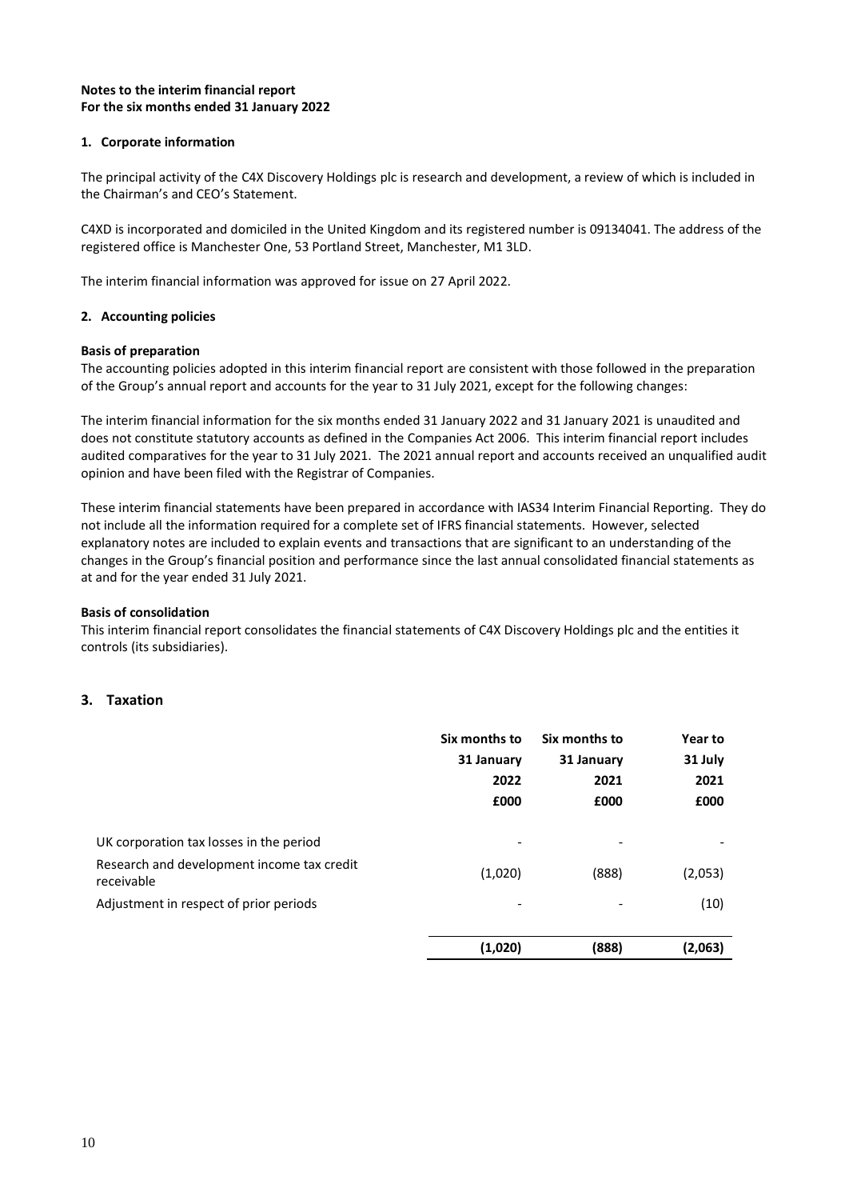# **Notes to the interim financial report For the six months ended 31 January 2022**

# **1. Corporate information**

The principal activity of the C4X Discovery Holdings plc is research and development, a review of which is included in the Chairman's and CEO's Statement.

C4XD is incorporated and domiciled in the United Kingdom and its registered number is 09134041. The address of the registered office is Manchester One, 53 Portland Street, Manchester, M1 3LD.

The interim financial information was approved for issue on 27 April 2022.

# **2. Accounting policies**

## **Basis of preparation**

The accounting policies adopted in this interim financial report are consistent with those followed in the preparation of the Group's annual report and accounts for the year to 31 July 2021, except for the following changes:

The interim financial information for the six months ended 31 January 2022 and 31 January 2021 is unaudited and does not constitute statutory accounts as defined in the Companies Act 2006. This interim financial report includes audited comparatives for the year to 31 July 2021. The 2021 annual report and accounts received an unqualified audit opinion and have been filed with the Registrar of Companies.

These interim financial statements have been prepared in accordance with IAS34 Interim Financial Reporting. They do not include all the information required for a complete set of IFRS financial statements. However, selected explanatory notes are included to explain events and transactions that are significant to an understanding of the changes in the Group's financial position and performance since the last annual consolidated financial statements as at and for the year ended 31 July 2021.

## **Basis of consolidation**

This interim financial report consolidates the financial statements of C4X Discovery Holdings plc and the entities it controls (its subsidiaries).

# **3. Taxation**

| Six months to                                            |            | Six months to | Year to |  |
|----------------------------------------------------------|------------|---------------|---------|--|
|                                                          | 31 January | 31 January    | 31 July |  |
|                                                          | 2022       | 2021          | 2021    |  |
|                                                          | £000       | £000          | £000    |  |
| UK corporation tax losses in the period                  |            |               |         |  |
| Research and development income tax credit<br>receivable | (1,020)    | (888)         | (2,053) |  |
| Adjustment in respect of prior periods                   |            |               | (10)    |  |
|                                                          | (1,020)    | (888)         | (2,063) |  |
|                                                          |            |               |         |  |